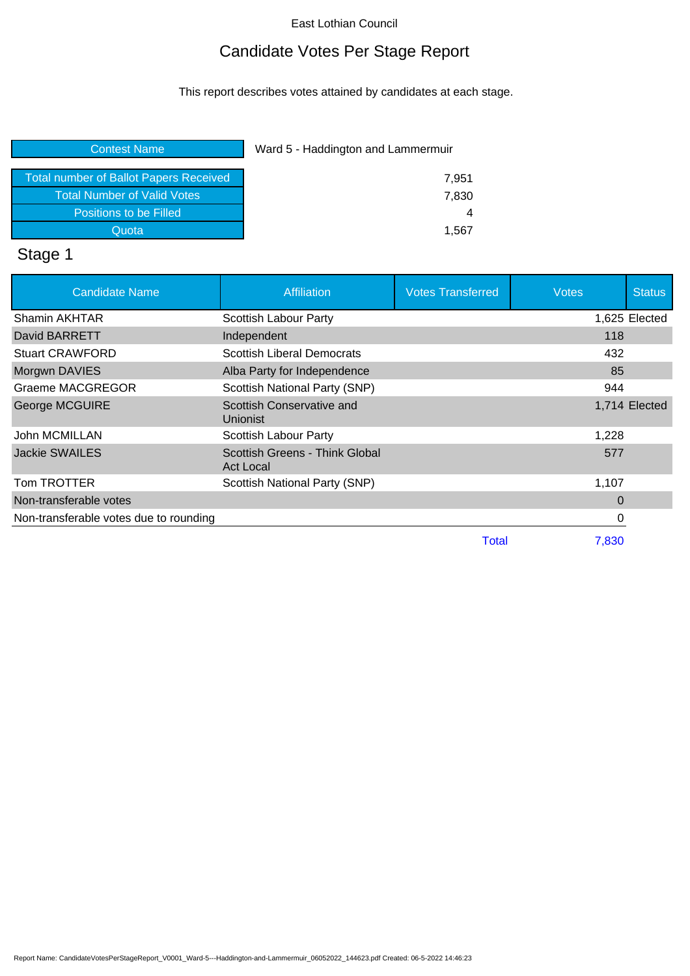## Candidate Votes Per Stage Report

This report describes votes attained by candidates at each stage.

| <b>Contest Name</b>                           | Ward 5 - Haddington and Lammermuir |  |
|-----------------------------------------------|------------------------------------|--|
| <b>Total number of Ballot Papers Received</b> | 7,951                              |  |
| <b>Total Number of Valid Votes</b>            | 7,830                              |  |
| Positions to be Filled                        |                                    |  |
| Quota                                         | 1.567                              |  |
|                                               |                                    |  |

# Stage 1

| <b>Candidate Name</b>                  | Affiliation                                 | <b>Votes Transferred</b> | <b>Votes</b> | <b>Status</b> |
|----------------------------------------|---------------------------------------------|--------------------------|--------------|---------------|
| Shamin AKHTAR                          | <b>Scottish Labour Party</b>                |                          |              | 1,625 Elected |
| David BARRETT                          | Independent                                 |                          | 118          |               |
| <b>Stuart CRAWFORD</b>                 | <b>Scottish Liberal Democrats</b>           |                          | 432          |               |
| Morgwn DAVIES                          | Alba Party for Independence                 |                          | 85           |               |
| Graeme MACGREGOR                       | Scottish National Party (SNP)               |                          | 944          |               |
| George MCGUIRE                         | Scottish Conservative and<br>Unionist       |                          |              | 1,714 Elected |
| John MCMILLAN                          | Scottish Labour Party                       |                          | 1,228        |               |
| <b>Jackie SWAILES</b>                  | Scottish Greens - Think Global<br>Act Local |                          | 577          |               |
| Tom TROTTER                            | Scottish National Party (SNP)               |                          | 1,107        |               |
| Non-transferable votes                 |                                             |                          | $\Omega$     |               |
| Non-transferable votes due to rounding |                                             |                          | 0            |               |
|                                        |                                             | Total                    | 7.830        |               |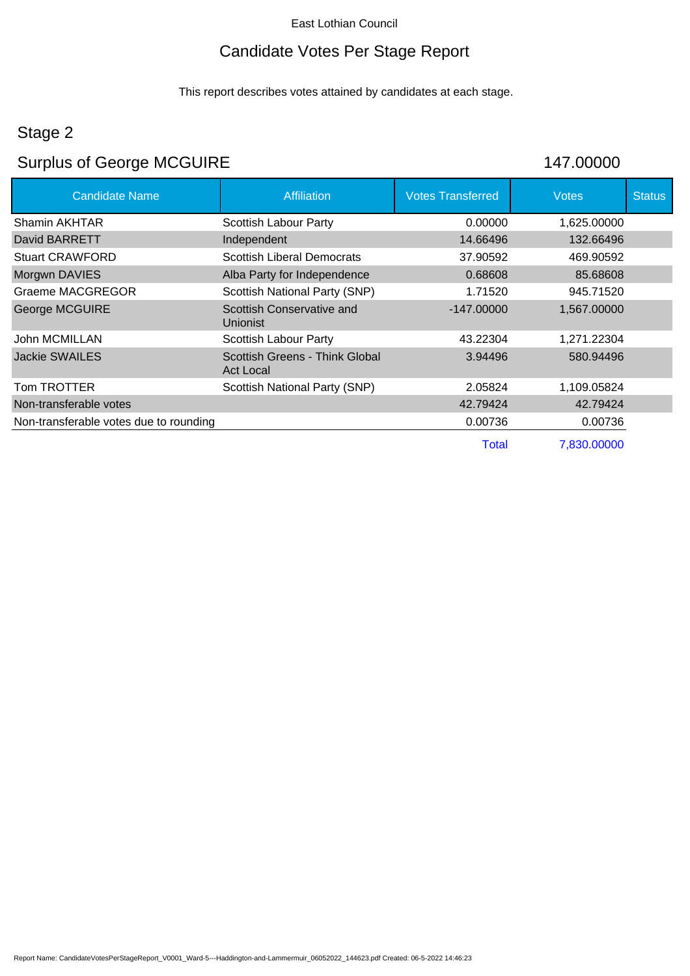# Candidate Votes Per Stage Report

This report describes votes attained by candidates at each stage.

## Stage 2

# Surplus of George MCGUIRE 147.00000

| <b>Candidate Name</b>                  | <b>Affiliation</b>                          | <b>Votes Transferred</b> | <b>Votes</b> | <b>Status</b> |
|----------------------------------------|---------------------------------------------|--------------------------|--------------|---------------|
| Shamin AKHTAR                          | Scottish Labour Party                       | 0.00000                  | 1,625.00000  |               |
| David BARRETT                          | Independent                                 | 14.66496                 | 132.66496    |               |
| <b>Stuart CRAWFORD</b>                 | <b>Scottish Liberal Democrats</b>           | 37.90592                 | 469.90592    |               |
| Morgwn DAVIES                          | Alba Party for Independence                 | 0.68608                  | 85.68608     |               |
| Graeme MACGREGOR                       | Scottish National Party (SNP)               | 1.71520                  | 945.71520    |               |
| <b>George MCGUIRE</b>                  | Scottish Conservative and<br>Unionist       | $-147.00000$             | 1,567.00000  |               |
| John MCMILLAN                          | <b>Scottish Labour Party</b>                | 43.22304                 | 1,271.22304  |               |
| Jackie SWAILES                         | Scottish Greens - Think Global<br>Act Local | 3.94496                  | 580.94496    |               |
| Tom TROTTER                            | Scottish National Party (SNP)               | 2.05824                  | 1,109.05824  |               |
| Non-transferable votes                 |                                             | 42.79424                 | 42.79424     |               |
| Non-transferable votes due to rounding |                                             | 0.00736                  | 0.00736      |               |
|                                        |                                             | Total                    | 7.830.00000  |               |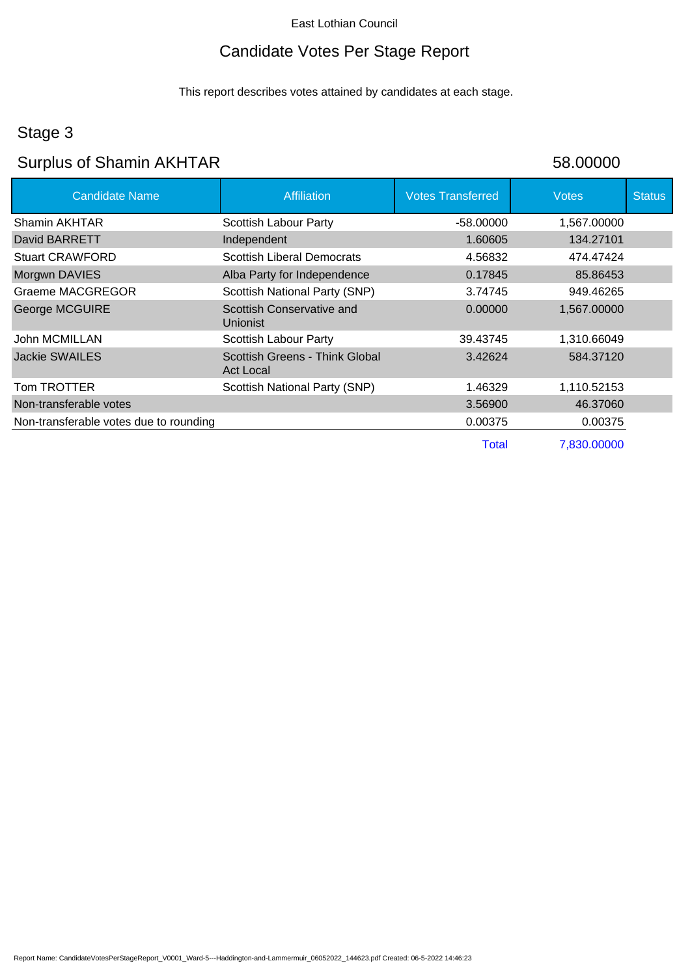# Candidate Votes Per Stage Report

This report describes votes attained by candidates at each stage.

### Stage 3

## Surplus of Shamin AKHTAR 58.00000

| <b>Candidate Name</b>                  | <b>Affiliation</b>                                 | <b>Votes Transferred</b> | <b>Votes</b> | <b>Status</b> |
|----------------------------------------|----------------------------------------------------|--------------------------|--------------|---------------|
| Shamin AKHTAR                          | Scottish Labour Party                              | $-58.00000$              | 1,567.00000  |               |
| David BARRETT                          | Independent                                        | 1.60605                  | 134.27101    |               |
| <b>Stuart CRAWFORD</b>                 | <b>Scottish Liberal Democrats</b>                  | 4.56832                  | 474.47424    |               |
| Morgwn DAVIES                          | Alba Party for Independence                        | 0.17845                  | 85.86453     |               |
| <b>Graeme MACGREGOR</b>                | Scottish National Party (SNP)                      | 3.74745                  | 949.46265    |               |
| <b>George MCGUIRE</b>                  | Scottish Conservative and<br><b>Unionist</b>       | 0.00000                  | 1,567.00000  |               |
| John MCMILLAN                          | Scottish Labour Party                              | 39.43745                 | 1,310.66049  |               |
| <b>Jackie SWAILES</b>                  | Scottish Greens - Think Global<br><b>Act Local</b> | 3.42624                  | 584.37120    |               |
| Tom TROTTER                            | Scottish National Party (SNP)                      | 1.46329                  | 1,110.52153  |               |
| Non-transferable votes                 |                                                    | 3.56900                  | 46.37060     |               |
| Non-transferable votes due to rounding |                                                    | 0.00375                  | 0.00375      |               |
|                                        |                                                    | <b>Total</b>             | 7,830.00000  |               |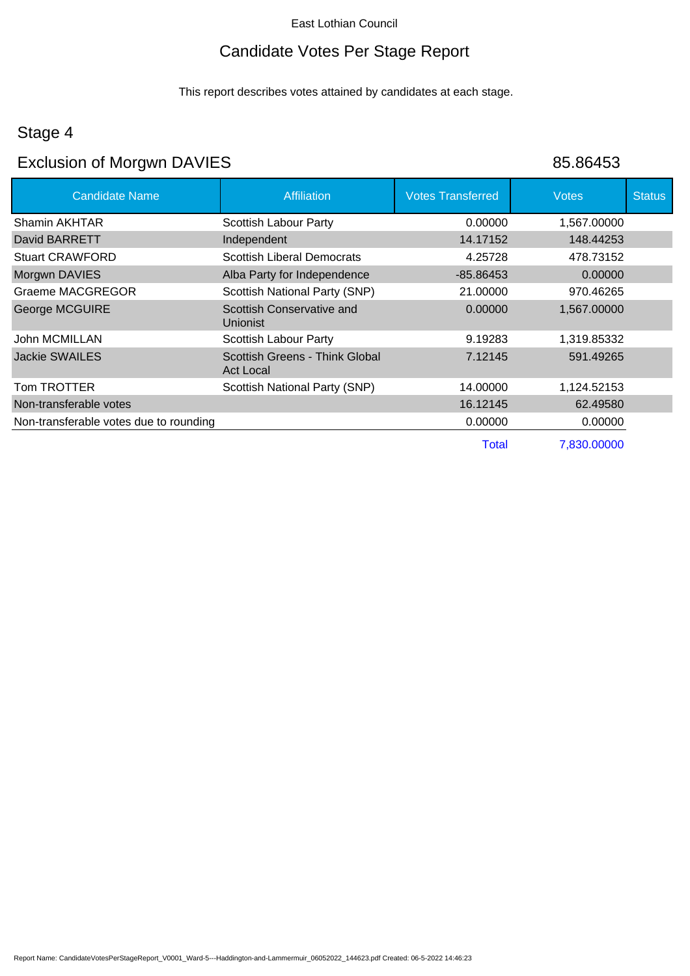### Candidate Votes Per Stage Report

This report describes votes attained by candidates at each stage.

### Stage 4

## Exclusion of Morgwn DAVIES 85.86453

| <b>Candidate Name</b>                  | Affiliation                                        | <b>Votes Transferred</b> | <b>Votes</b> | <b>Status</b> |
|----------------------------------------|----------------------------------------------------|--------------------------|--------------|---------------|
| Shamin AKHTAR                          | Scottish Labour Party                              | 0.00000                  | 1,567.00000  |               |
| David BARRETT                          | Independent                                        | 14.17152                 | 148.44253    |               |
| <b>Stuart CRAWFORD</b>                 | <b>Scottish Liberal Democrats</b>                  | 4.25728                  | 478.73152    |               |
| Morgwn DAVIES                          | Alba Party for Independence                        | -85.86453                | 0.00000      |               |
| Graeme MACGREGOR                       | Scottish National Party (SNP)                      | 21.00000                 | 970.46265    |               |
| George MCGUIRE                         | Scottish Conservative and<br><b>Unionist</b>       | 0.00000                  | 1,567.00000  |               |
| John MCMILLAN                          | Scottish Labour Party                              | 9.19283                  | 1,319.85332  |               |
| <b>Jackie SWAILES</b>                  | Scottish Greens - Think Global<br><b>Act Local</b> | 7.12145                  | 591.49265    |               |
| Tom TROTTER                            | Scottish National Party (SNP)                      | 14.00000                 | 1,124.52153  |               |
| Non-transferable votes                 |                                                    | 16.12145                 | 62.49580     |               |
| Non-transferable votes due to rounding |                                                    | 0.00000                  | 0.00000      |               |
|                                        |                                                    | Total                    | 7,830.00000  |               |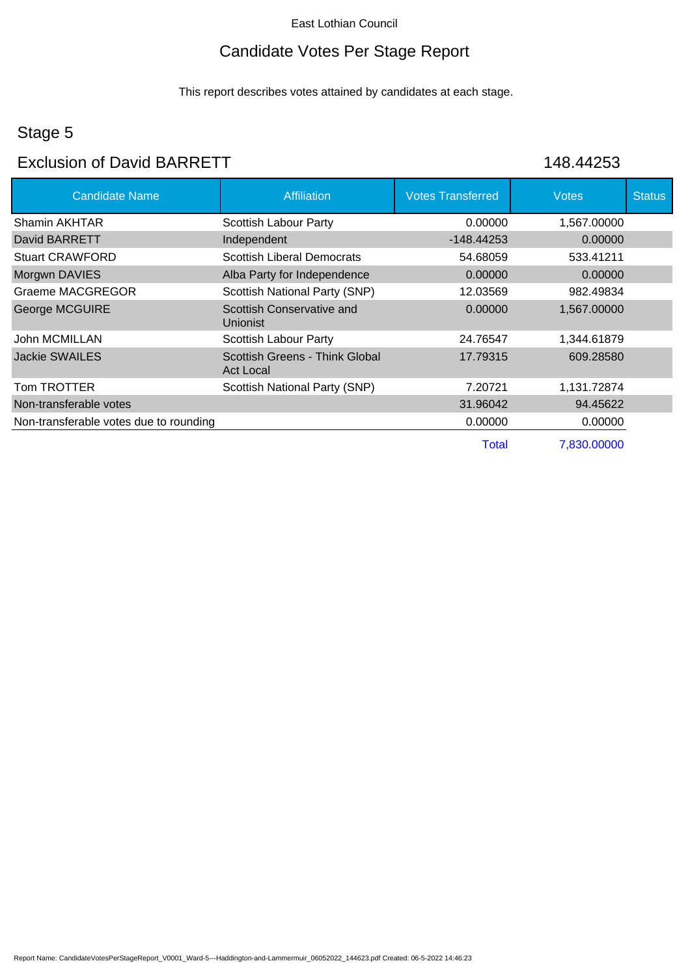## Candidate Votes Per Stage Report

This report describes votes attained by candidates at each stage.

## Stage 5

### Exclusion of David BARRETT 148.44253

| <b>Candidate Name</b>                  | <b>Affiliation</b>                                 | <b>Votes Transferred</b> | <b>Votes</b> | <b>Status</b> |
|----------------------------------------|----------------------------------------------------|--------------------------|--------------|---------------|
| Shamin AKHTAR                          | <b>Scottish Labour Party</b>                       | 0.00000                  | 1,567.00000  |               |
| David BARRETT                          | Independent                                        | $-148.44253$             | 0.00000      |               |
| <b>Stuart CRAWFORD</b>                 | <b>Scottish Liberal Democrats</b>                  | 54.68059                 | 533.41211    |               |
| Morgwn DAVIES                          | Alba Party for Independence                        | 0.00000                  | 0.00000      |               |
| Graeme MACGREGOR                       | Scottish National Party (SNP)                      | 12.03569                 | 982.49834    |               |
| George MCGUIRE                         | Scottish Conservative and<br><b>Unionist</b>       | 0.00000                  | 1,567.00000  |               |
| John MCMILLAN                          | <b>Scottish Labour Party</b>                       | 24.76547                 | 1,344.61879  |               |
| <b>Jackie SWAILES</b>                  | Scottish Greens - Think Global<br><b>Act Local</b> | 17.79315                 | 609.28580    |               |
| Tom TROTTER                            | Scottish National Party (SNP)                      | 7.20721                  | 1,131.72874  |               |
| Non-transferable votes                 |                                                    | 31.96042                 | 94.45622     |               |
| Non-transferable votes due to rounding |                                                    | 0.00000                  | 0.00000      |               |
|                                        |                                                    | <b>Total</b>             | 7.830.00000  |               |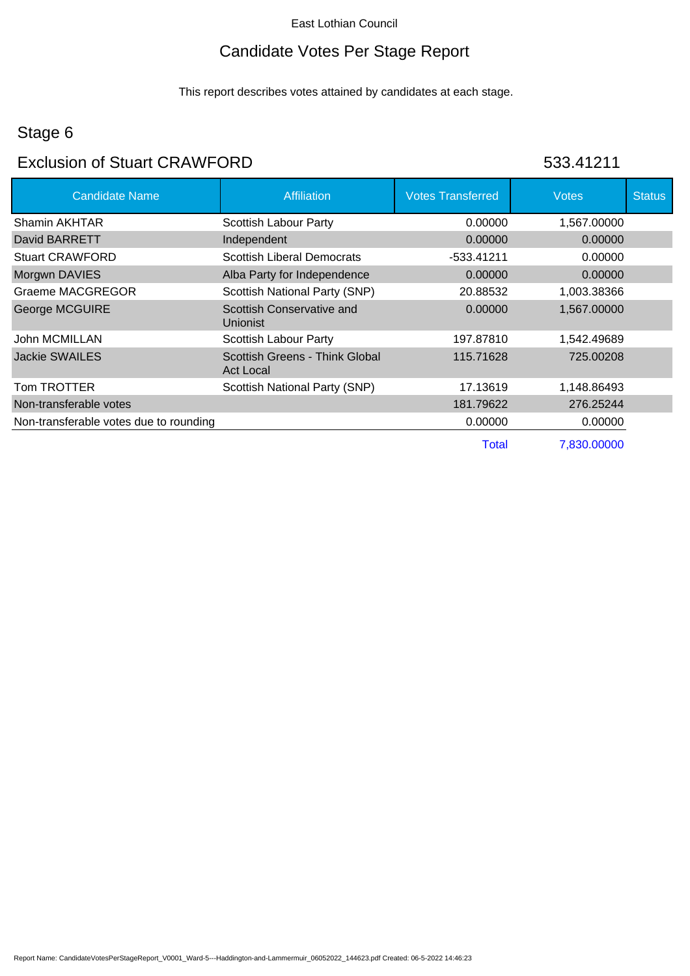## Candidate Votes Per Stage Report

This report describes votes attained by candidates at each stage.

## Stage 6

### Exclusion of Stuart CRAWFORD 633.41211

| <b>Candidate Name</b>                  | Affiliation                                        | <b>Votes Transferred</b> | <b>Votes</b> | <b>Status</b> |
|----------------------------------------|----------------------------------------------------|--------------------------|--------------|---------------|
| Shamin AKHTAR                          | Scottish Labour Party                              | 0.00000                  | 1,567.00000  |               |
| David BARRETT                          | Independent                                        | 0.00000                  | 0.00000      |               |
| <b>Stuart CRAWFORD</b>                 | <b>Scottish Liberal Democrats</b>                  | -533.41211               | 0.00000      |               |
| Morgwn DAVIES                          | Alba Party for Independence                        | 0.00000                  | 0.00000      |               |
| Graeme MACGREGOR                       | Scottish National Party (SNP)                      | 20.88532                 | 1,003.38366  |               |
| George MCGUIRE                         | Scottish Conservative and<br>Unionist              | 0.00000                  | 1,567.00000  |               |
| John MCMILLAN                          | Scottish Labour Party                              | 197.87810                | 1,542.49689  |               |
| Jackie SWAILES                         | Scottish Greens - Think Global<br><b>Act Local</b> | 115.71628                | 725.00208    |               |
| Tom TROTTER                            | Scottish National Party (SNP)                      | 17.13619                 | 1,148.86493  |               |
| Non-transferable votes                 |                                                    | 181.79622                | 276.25244    |               |
| Non-transferable votes due to rounding |                                                    | 0.00000                  | 0.00000      |               |
|                                        |                                                    | Total                    | 7.830.00000  |               |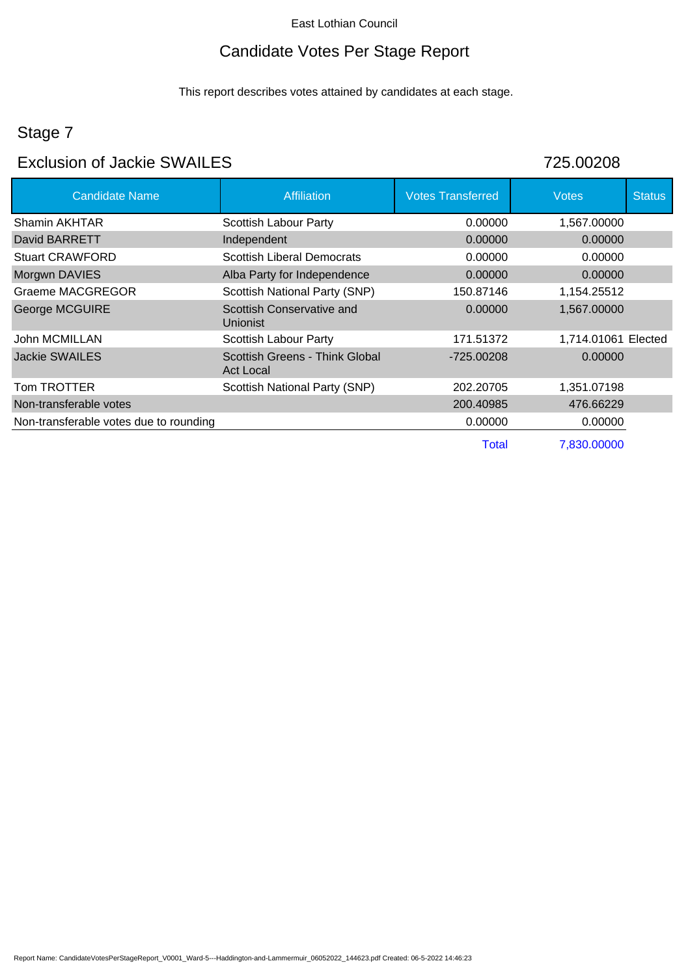## Candidate Votes Per Stage Report

This report describes votes attained by candidates at each stage.

## Stage 7

### Exclusion of Jackie SWAILES 725.00208

| <b>Candidate Name</b>                  | <b>Affiliation</b>                          | <b>Votes Transferred</b> | <b>Votes</b>        | <b>Status</b> |
|----------------------------------------|---------------------------------------------|--------------------------|---------------------|---------------|
| Shamin AKHTAR                          | Scottish Labour Party                       | 0.00000                  | 1,567.00000         |               |
| David BARRETT                          | Independent                                 | 0.00000                  | 0.00000             |               |
| <b>Stuart CRAWFORD</b>                 | <b>Scottish Liberal Democrats</b>           | 0.00000                  | 0.00000             |               |
| Morgwn DAVIES                          | Alba Party for Independence                 | 0.00000                  | 0.00000             |               |
| Graeme MACGREGOR                       | Scottish National Party (SNP)               | 150.87146                | 1,154.25512         |               |
| <b>George MCGUIRE</b>                  | Scottish Conservative and<br>Unionist       | 0.00000                  | 1,567.00000         |               |
| John MCMILLAN                          | Scottish Labour Party                       | 171.51372                | 1,714.01061 Elected |               |
| Jackie SWAILES                         | Scottish Greens - Think Global<br>Act Local | -725.00208               | 0.00000             |               |
| Tom TROTTER                            | Scottish National Party (SNP)               | 202.20705                | 1,351.07198         |               |
| Non-transferable votes                 |                                             | 200.40985                | 476.66229           |               |
| Non-transferable votes due to rounding |                                             | 0.00000                  | 0.00000             |               |
|                                        |                                             | Total                    | 7,830,00000         |               |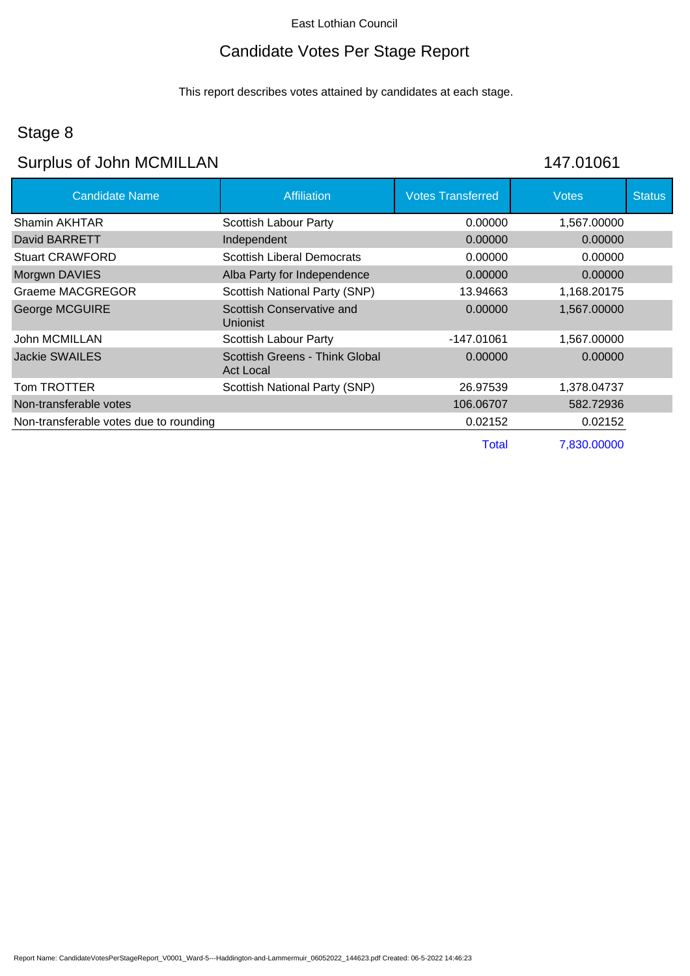### Candidate Votes Per Stage Report

This report describes votes attained by candidates at each stage.

### Stage 8

## Surplus of John MCMILLAN 147.01061

| <b>Candidate Name</b>                  | <b>Affiliation</b>                          | <b>Votes Transferred</b> | <b>Votes</b> | <b>Status</b> |
|----------------------------------------|---------------------------------------------|--------------------------|--------------|---------------|
| Shamin AKHTAR                          | Scottish Labour Party                       | 0.00000                  | 1,567.00000  |               |
| David BARRETT                          | Independent                                 | 0.00000                  | 0.00000      |               |
| <b>Stuart CRAWFORD</b>                 | <b>Scottish Liberal Democrats</b>           | 0.00000                  | 0.00000      |               |
| Morgwn DAVIES                          | Alba Party for Independence                 | 0.00000                  | 0.00000      |               |
| Graeme MACGREGOR                       | Scottish National Party (SNP)               | 13.94663                 | 1,168.20175  |               |
| <b>George MCGUIRE</b>                  | Scottish Conservative and<br>Unionist       | 0.00000                  | 1,567.00000  |               |
| John MCMILLAN                          | Scottish Labour Party                       | -147.01061               | 1,567.00000  |               |
| <b>Jackie SWAILES</b>                  | Scottish Greens - Think Global<br>Act Local | 0.00000                  | 0.00000      |               |
| Tom TROTTER                            | Scottish National Party (SNP)               | 26.97539                 | 1,378.04737  |               |
| Non-transferable votes                 |                                             | 106.06707                | 582.72936    |               |
| Non-transferable votes due to rounding |                                             | 0.02152                  | 0.02152      |               |
|                                        |                                             | Total                    | 7,830.00000  |               |